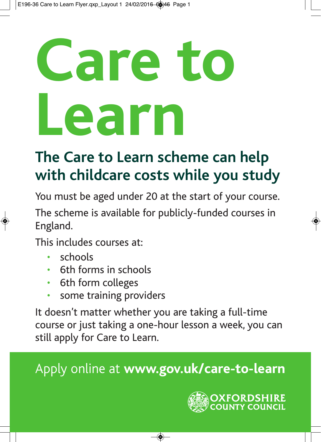## **Care to Learn**

## **The Care to Learn scheme can help with childcare costs while you study**

You must be aged under 20 at the start of your course.

The scheme is available for publicly-funded courses in England.

This includes courses at:

- schools
- 6th forms in schools
- 6th form colleges
- some training providers

It doesn't matter whether you are taking a full-time course or just taking a one-hour lesson a week, you can still apply for Care to Learn.

Apply online at **www.gov.uk/care-to-learn**